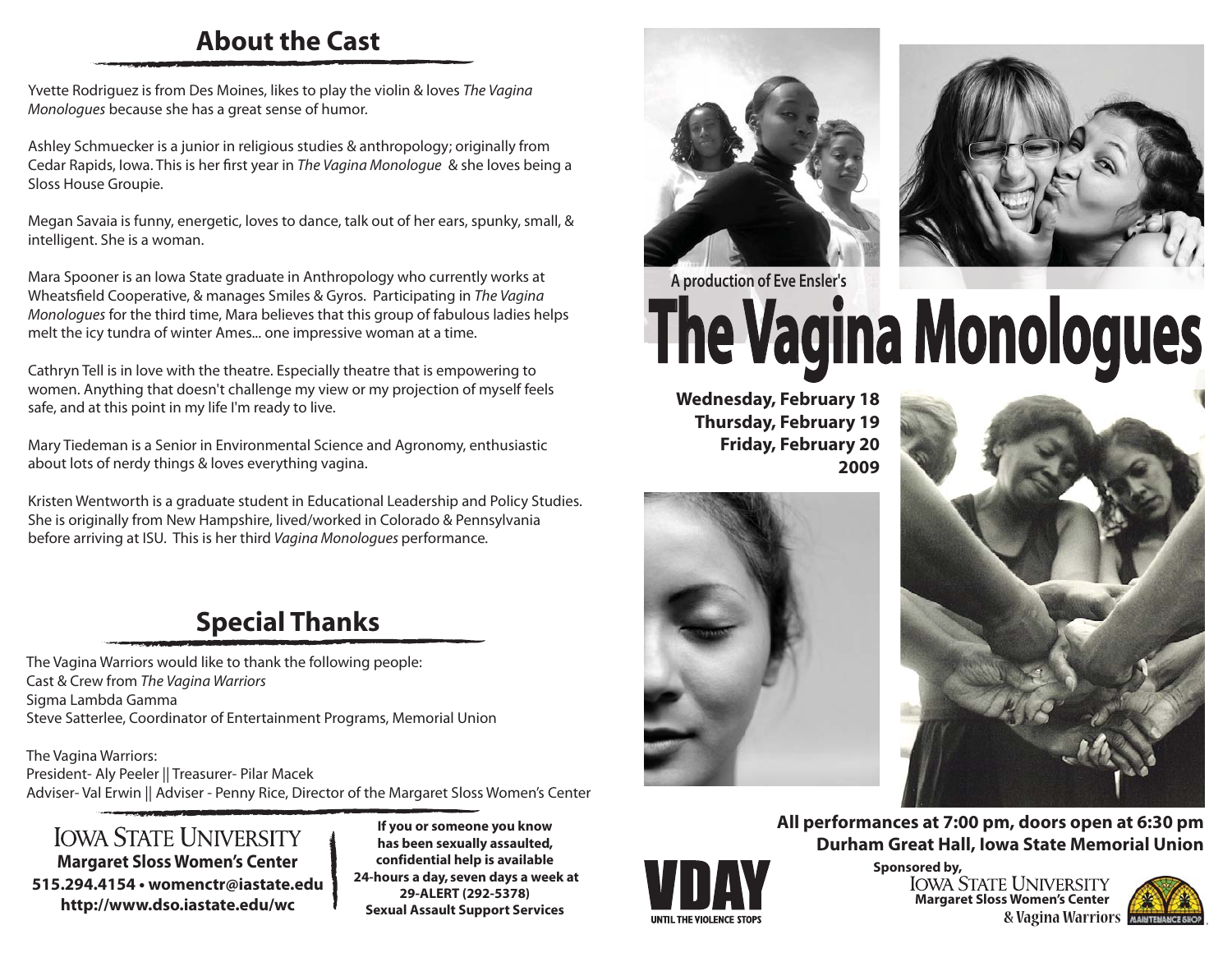#### **About the Cast**

Yvette Rodriguez is from Des Moines, likes to play the violin & loves *The Vagina Monologues* because she has a great sense of humor.

Ashley Schmuecker is a junior in religious studies & anthropology; originally from Cedar Rapids, Iowa. This is her first year in *The Vagina Monologue* & she loves being a Sloss House Groupie.

Megan Savaia is funny, energetic, loves to dance, talk out of her ears, spunky, small, & intelligent. She is a woman.

Mara Spooner is an Iowa State graduate in Anthropology who currently works at Wheatsfield Cooperative, & manages Smiles & Gyros. Participating in *The Vagina Monologues* for the third time, Mara believes that this group of fabulous ladies helps melt the icy tundra of winter Ames... one impressive woman at a time.

Cathryn Tell is in love with the theatre. Especially theatre that is empowering to women. Anything that doesn't challenge my view or my projection of myself feels safe, and at this point in my life I'm ready to live.

Mary Tiedeman is a Senior in Environmental Science and Agronomy, enthusiastic about lots of nerdy things & loves everything vagina.

Kristen Wentworth is a graduate student in Educational Leadership and Policy Studies. She is originally from New Hampshire, lived/worked in Colorado & Pennsylvania before arriving at ISU. This is her third *Vagina Monologues* performance*.*

## **Special Thanks**

The Vagina Warriors would like to thank the following people: Cast & Crew from *The Vagina Warriors* Sigma Lambda Gamma Steve Satterlee, Coordinator of Entertainment Programs, Memorial Union

The Vagina Warriors: President- Aly Peeler || Treasurer- Pilar Macek Adviser- Val Erwin || Adviser - Penny Rice, Director of the Margaret Sloss Women's Center

**IOWA STATE UNIVERSITY Margaret Sloss Women's Center 515.294.4154 • womenctr@iastate.edu http://www.dso.iastate.edu/wc**

**If you or someone you know has been sexually assaulted, confidential help is available 24-hours a day, seven days a week at 29-ALERT (292-5378) Sexual Assault Support Services**





# **A production of Eve Ensler's The Vagina Monologues**

**Wednesday, February 18 Thursday, February 19 Friday, February 20 2009**





**All performances at 7:00 pm, doors open at 6:30 pm Durham Great Hall, Iowa State Memorial Union**



**Margaret Sloss Women's Center Sponsored by,<br>IOWA STATE UNIVERSITY & Vagina Warriors**